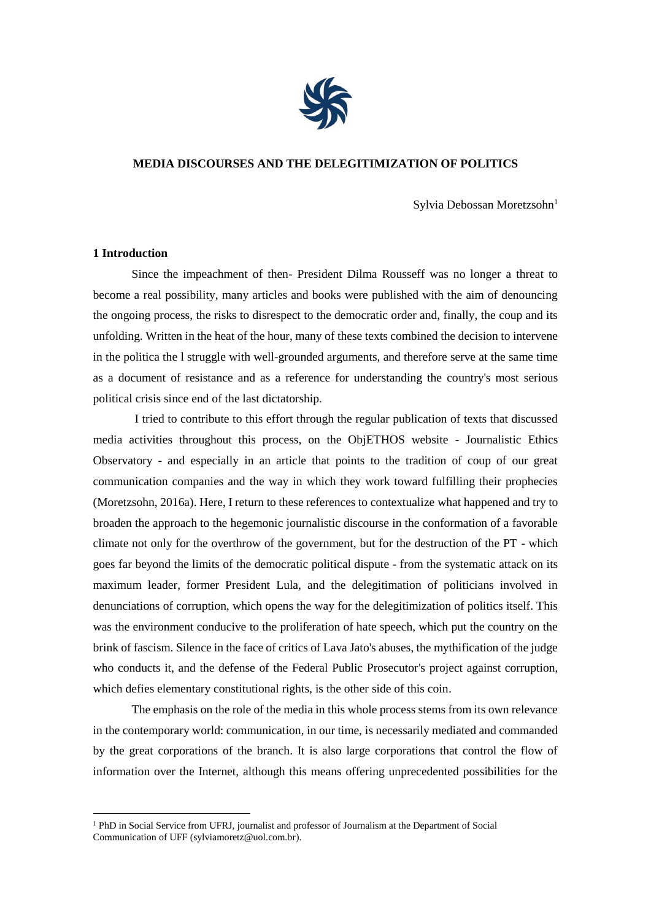

## **MEDIA DISCOURSES AND THE DELEGITIMIZATION OF POLITICS**

Sylvia Debossan Moretzsohn<sup>1</sup>

# **1 Introduction**

1

Since the impeachment of then- President Dilma Rousseff was no longer a threat to become a real possibility, many articles and books were published with the aim of denouncing the ongoing process, the risks to disrespect to the democratic order and, finally, the coup and its unfolding. Written in the heat of the hour, many of these texts combined the decision to intervene in the politica the l struggle with well-grounded arguments, and therefore serve at the same time as a document of resistance and as a reference for understanding the country's most serious political crisis since end of the last dictatorship.

I tried to contribute to this effort through the regular publication of texts that discussed media activities throughout this process, on the ObjETHOS website - Journalistic Ethics Observatory - and especially in an article that points to the tradition of coup of our great communication companies and the way in which they work toward fulfilling their prophecies (Moretzsohn, 2016a). Here, I return to these references to contextualize what happened and try to broaden the approach to the hegemonic journalistic discourse in the conformation of a favorable climate not only for the overthrow of the government, but for the destruction of the PT - which goes far beyond the limits of the democratic political dispute - from the systematic attack on its maximum leader, former President Lula, and the delegitimation of politicians involved in denunciations of corruption, which opens the way for the delegitimization of politics itself. This was the environment conducive to the proliferation of hate speech, which put the country on the brink of fascism. Silence in the face of critics of Lava Jato's abuses, the mythification of the judge who conducts it, and the defense of the Federal Public Prosecutor's project against corruption, which defies elementary constitutional rights, is the other side of this coin.

The emphasis on the role of the media in this whole process stems from its own relevance in the contemporary world: communication, in our time, is necessarily mediated and commanded by the great corporations of the branch. It is also large corporations that control the flow of information over the Internet, although this means offering unprecedented possibilities for the

<sup>1</sup> PhD in Social Service from UFRJ, journalist and professor of Journalism at the Department of Social Communication of UFF (sylviamoretz@uol.com.br).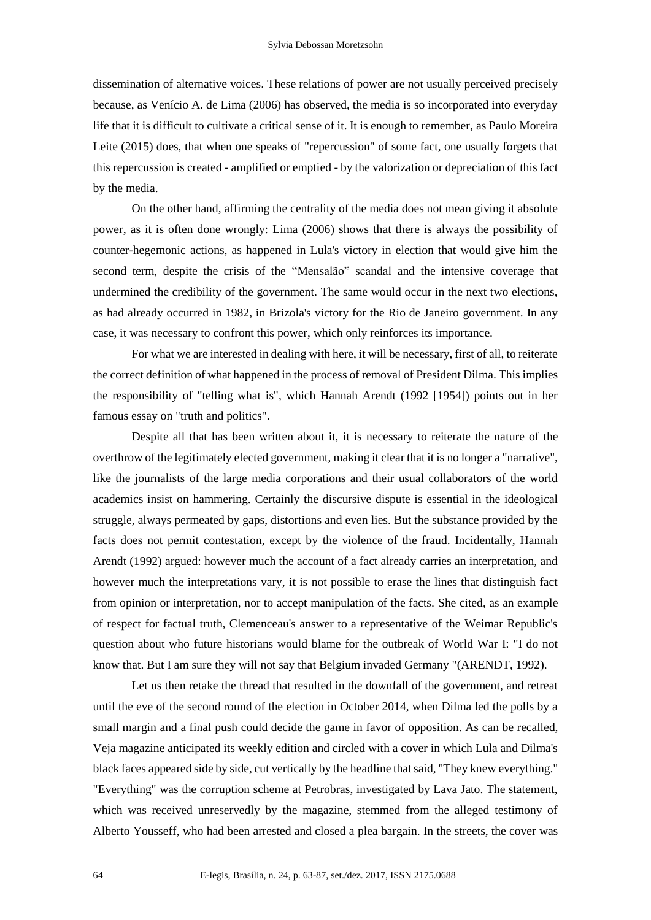dissemination of alternative voices. These relations of power are not usually perceived precisely because, as Venício A. de Lima (2006) has observed, the media is so incorporated into everyday life that it is difficult to cultivate a critical sense of it. It is enough to remember, as Paulo Moreira Leite (2015) does, that when one speaks of "repercussion" of some fact, one usually forgets that this repercussion is created - amplified or emptied - by the valorization or depreciation of this fact by the media.

On the other hand, affirming the centrality of the media does not mean giving it absolute power, as it is often done wrongly: Lima (2006) shows that there is always the possibility of counter-hegemonic actions, as happened in Lula's victory in election that would give him the second term, despite the crisis of the "Mensalão" scandal and the intensive coverage that undermined the credibility of the government. The same would occur in the next two elections, as had already occurred in 1982, in Brizola's victory for the Rio de Janeiro government. In any case, it was necessary to confront this power, which only reinforces its importance.

For what we are interested in dealing with here, it will be necessary, first of all, to reiterate the correct definition of what happened in the process of removal of President Dilma. This implies the responsibility of "telling what is", which Hannah Arendt (1992 [1954]) points out in her famous essay on "truth and politics".

Despite all that has been written about it, it is necessary to reiterate the nature of the overthrow of the legitimately elected government, making it clear that it is no longer a "narrative", like the journalists of the large media corporations and their usual collaborators of the world academics insist on hammering. Certainly the discursive dispute is essential in the ideological struggle, always permeated by gaps, distortions and even lies. But the substance provided by the facts does not permit contestation, except by the violence of the fraud. Incidentally, Hannah Arendt (1992) argued: however much the account of a fact already carries an interpretation, and however much the interpretations vary, it is not possible to erase the lines that distinguish fact from opinion or interpretation, nor to accept manipulation of the facts. She cited, as an example of respect for factual truth, Clemenceau's answer to a representative of the Weimar Republic's question about who future historians would blame for the outbreak of World War I: "I do not know that. But I am sure they will not say that Belgium invaded Germany "(ARENDT, 1992).

Let us then retake the thread that resulted in the downfall of the government, and retreat until the eve of the second round of the election in October 2014, when Dilma led the polls by a small margin and a final push could decide the game in favor of opposition. As can be recalled, Veja magazine anticipated its weekly edition and circled with a cover in which Lula and Dilma's black faces appeared side by side, cut vertically by the headline that said, "They knew everything." "Everything" was the corruption scheme at Petrobras, investigated by Lava Jato. The statement, which was received unreservedly by the magazine, stemmed from the alleged testimony of Alberto Yousseff, who had been arrested and closed a plea bargain. In the streets, the cover was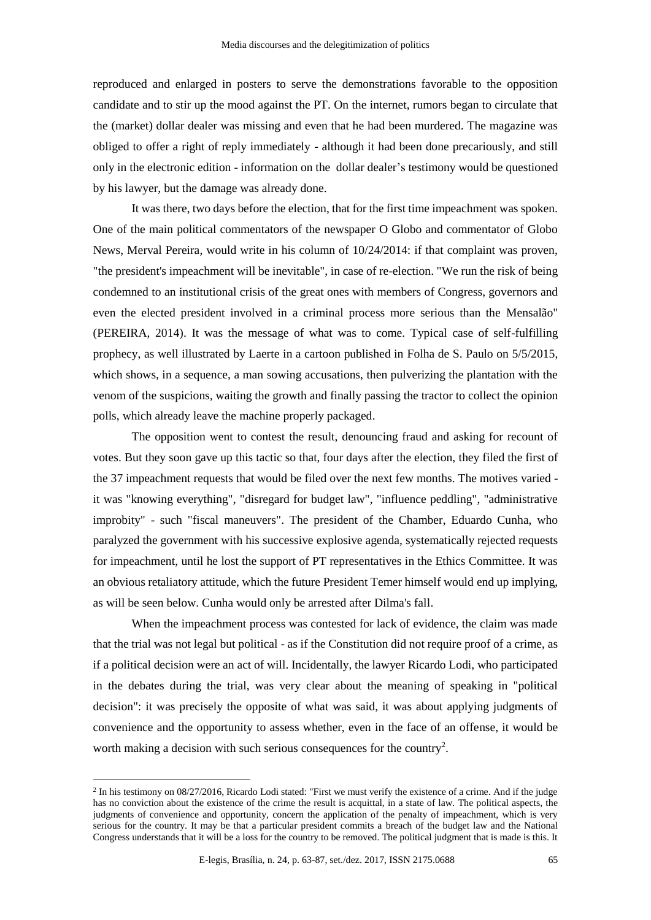reproduced and enlarged in posters to serve the demonstrations favorable to the opposition candidate and to stir up the mood against the PT. On the internet, rumors began to circulate that the (market) dollar dealer was missing and even that he had been murdered. The magazine was obliged to offer a right of reply immediately - although it had been done precariously, and still only in the electronic edition - information on the dollar dealer's testimony would be questioned by his lawyer, but the damage was already done.

It was there, two days before the election, that for the first time impeachment was spoken. One of the main political commentators of the newspaper O Globo and commentator of Globo News, Merval Pereira, would write in his column of 10/24/2014: if that complaint was proven, "the president's impeachment will be inevitable", in case of re-election. "We run the risk of being condemned to an institutional crisis of the great ones with members of Congress, governors and even the elected president involved in a criminal process more serious than the Mensalão" (PEREIRA, 2014). It was the message of what was to come. Typical case of self-fulfilling prophecy, as well illustrated by Laerte in a cartoon published in Folha de S. Paulo on 5/5/2015, which shows, in a sequence, a man sowing accusations, then pulverizing the plantation with the venom of the suspicions, waiting the growth and finally passing the tractor to collect the opinion polls, which already leave the machine properly packaged.

The opposition went to contest the result, denouncing fraud and asking for recount of votes. But they soon gave up this tactic so that, four days after the election, they filed the first of the 37 impeachment requests that would be filed over the next few months. The motives varied it was "knowing everything", "disregard for budget law", "influence peddling", "administrative improbity" - such "fiscal maneuvers". The president of the Chamber, Eduardo Cunha, who paralyzed the government with his successive explosive agenda, systematically rejected requests for impeachment, until he lost the support of PT representatives in the Ethics Committee. It was an obvious retaliatory attitude, which the future President Temer himself would end up implying, as will be seen below. Cunha would only be arrested after Dilma's fall.

When the impeachment process was contested for lack of evidence, the claim was made that the trial was not legal but political - as if the Constitution did not require proof of a crime, as if a political decision were an act of will. Incidentally, the lawyer Ricardo Lodi, who participated in the debates during the trial, was very clear about the meaning of speaking in "political decision": it was precisely the opposite of what was said, it was about applying judgments of convenience and the opportunity to assess whether, even in the face of an offense, it would be worth making a decision with such serious consequences for the country<sup>2</sup>.

 $^2$  In his testimony on 08/27/2016, Ricardo Lodi stated: "First we must verify the existence of a crime. And if the judge has no conviction about the existence of the crime the result is acquittal, in a state of law. The political aspects, the judgments of convenience and opportunity, concern the application of the penalty of impeachment, which is very serious for the country. It may be that a particular president commits a breach of the budget law and the National Congress understands that it will be a loss for the country to be removed. The political judgment that is made is this. It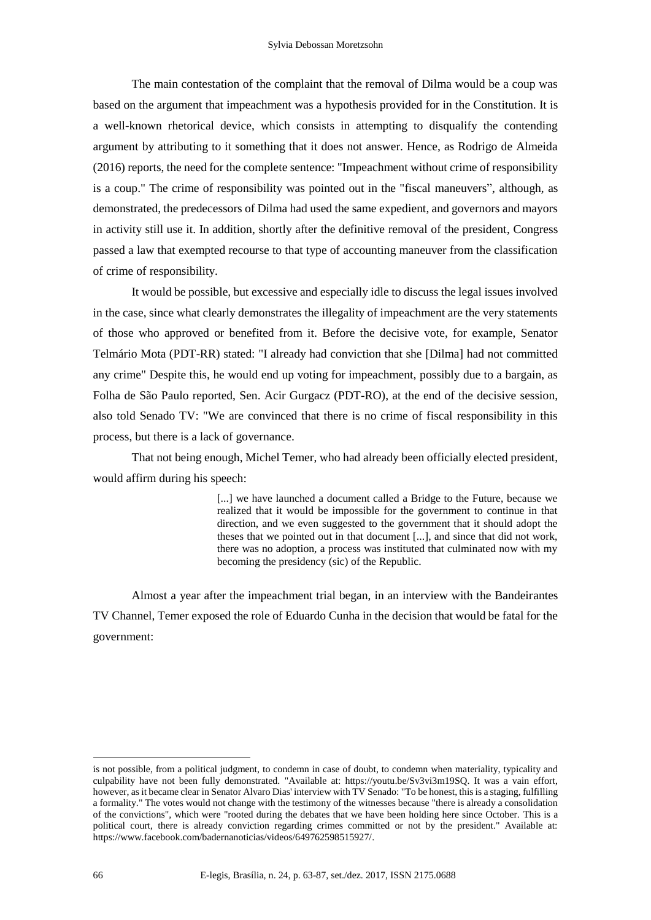The main contestation of the complaint that the removal of Dilma would be a coup was based on the argument that impeachment was a hypothesis provided for in the Constitution. It is a well-known rhetorical device, which consists in attempting to disqualify the contending argument by attributing to it something that it does not answer. Hence, as Rodrigo de Almeida (2016) reports, the need for the complete sentence: "Impeachment without crime of responsibility is a coup." The crime of responsibility was pointed out in the "fiscal maneuvers", although, as demonstrated, the predecessors of Dilma had used the same expedient, and governors and mayors in activity still use it. In addition, shortly after the definitive removal of the president, Congress passed a law that exempted recourse to that type of accounting maneuver from the classification of crime of responsibility.

It would be possible, but excessive and especially idle to discuss the legal issues involved in the case, since what clearly demonstrates the illegality of impeachment are the very statements of those who approved or benefited from it. Before the decisive vote, for example, Senator Telmário Mota (PDT-RR) stated: "I already had conviction that she [Dilma] had not committed any crime" Despite this, he would end up voting for impeachment, possibly due to a bargain, as Folha de São Paulo reported, Sen. Acir Gurgacz (PDT-RO), at the end of the decisive session, also told Senado TV: "We are convinced that there is no crime of fiscal responsibility in this process, but there is a lack of governance.

That not being enough, Michel Temer, who had already been officially elected president, would affirm during his speech:

> [...] we have launched a document called a Bridge to the Future, because we realized that it would be impossible for the government to continue in that direction, and we even suggested to the government that it should adopt the theses that we pointed out in that document [...], and since that did not work, there was no adoption, a process was instituted that culminated now with my becoming the presidency (sic) of the Republic.

Almost a year after the impeachment trial began, in an interview with the Bandeirantes TV Channel, Temer exposed the role of Eduardo Cunha in the decision that would be fatal for the government:

is not possible, from a political judgment, to condemn in case of doubt, to condemn when materiality, typicality and culpability have not been fully demonstrated. "Available at: https://youtu.be/Sv3vi3m19SQ. It was a vain effort, however, as it became clear in Senator Alvaro Dias' interview with TV Senado: "To be honest, this is a staging, fulfilling a formality." The votes would not change with the testimony of the witnesses because "there is already a consolidation of the convictions", which were "rooted during the debates that we have been holding here since October. This is a political court, there is already conviction regarding crimes committed or not by the president." Available at: https://www.facebook.com/badernanoticias/videos/649762598515927/.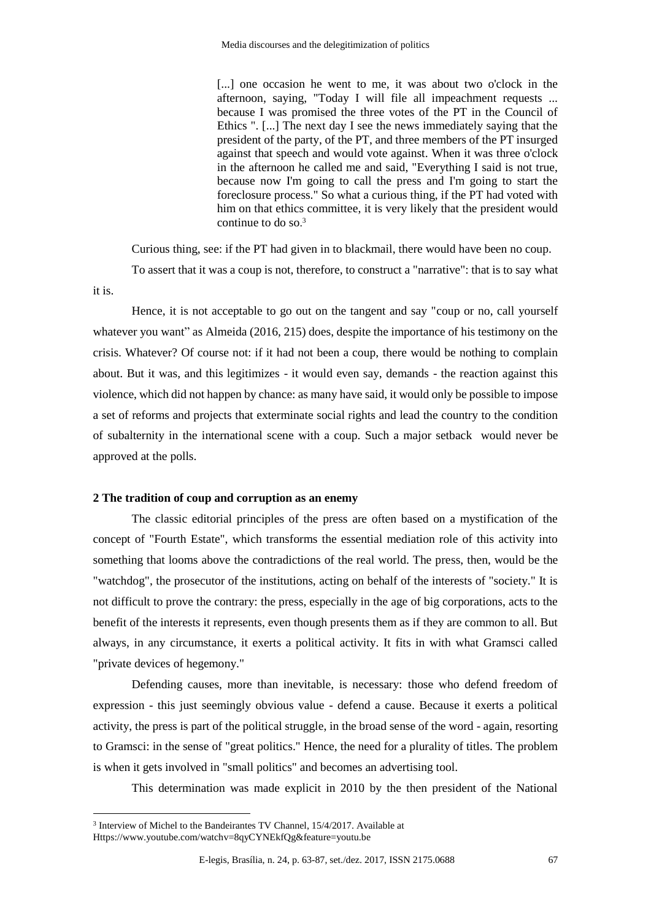[...] one occasion he went to me, it was about two o'clock in the afternoon, saying, "Today I will file all impeachment requests ... because I was promised the three votes of the PT in the Council of Ethics ". [...] The next day I see the news immediately saying that the president of the party, of the PT, and three members of the PT insurged against that speech and would vote against. When it was three o'clock in the afternoon he called me and said, "Everything I said is not true, because now I'm going to call the press and I'm going to start the foreclosure process." So what a curious thing, if the PT had voted with him on that ethics committee, it is very likely that the president would continue to do so. 3

Curious thing, see: if the PT had given in to blackmail, there would have been no coup.

To assert that it was a coup is not, therefore, to construct a "narrative": that is to say what it is.

Hence, it is not acceptable to go out on the tangent and say "coup or no, call yourself whatever you want" as Almeida (2016, 215) does, despite the importance of his testimony on the crisis. Whatever? Of course not: if it had not been a coup, there would be nothing to complain about. But it was, and this legitimizes - it would even say, demands - the reaction against this violence, which did not happen by chance: as many have said, it would only be possible to impose a set of reforms and projects that exterminate social rights and lead the country to the condition of subalternity in the international scene with a coup. Such a major setback would never be approved at the polls.

## **2 The tradition of coup and corruption as an enemy**

The classic editorial principles of the press are often based on a mystification of the concept of "Fourth Estate", which transforms the essential mediation role of this activity into something that looms above the contradictions of the real world. The press, then, would be the "watchdog", the prosecutor of the institutions, acting on behalf of the interests of "society." It is not difficult to prove the contrary: the press, especially in the age of big corporations, acts to the benefit of the interests it represents, even though presents them as if they are common to all. But always, in any circumstance, it exerts a political activity. It fits in with what Gramsci called "private devices of hegemony."

Defending causes, more than inevitable, is necessary: those who defend freedom of expression - this just seemingly obvious value - defend a cause. Because it exerts a political activity, the press is part of the political struggle, in the broad sense of the word - again, resorting to Gramsci: in the sense of "great politics." Hence, the need for a plurality of titles. The problem is when it gets involved in "small politics" and becomes an advertising tool.

This determination was made explicit in 2010 by the then president of the National

<sup>3</sup> Interview of Michel to the Bandeirantes TV Channel, 15/4/2017. Available at Https://www.youtube.com/watchv=8qyCYNEkfQg&feature=youtu.be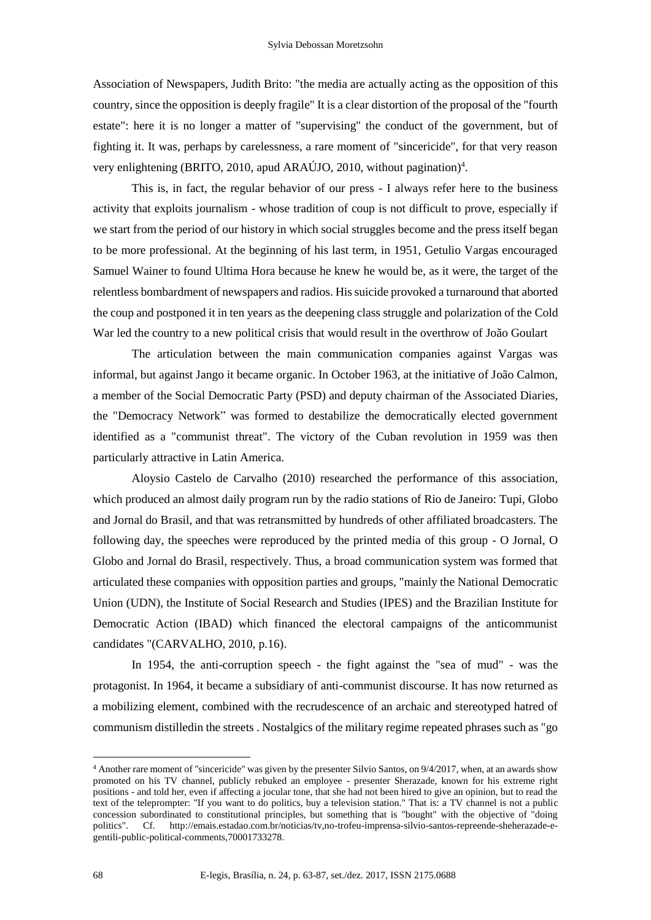Association of Newspapers, Judith Brito: "the media are actually acting as the opposition of this country, since the opposition is deeply fragile" It is a clear distortion of the proposal of the "fourth estate": here it is no longer a matter of "supervising" the conduct of the government, but of fighting it. It was, perhaps by carelessness, a rare moment of "sincericide", for that very reason very enlightening (BRITO, 2010, apud ARAÚJO, 2010, without pagination)<sup>4</sup>.

This is, in fact, the regular behavior of our press - I always refer here to the business activity that exploits journalism - whose tradition of coup is not difficult to prove, especially if we start from the period of our history in which social struggles become and the press itself began to be more professional. At the beginning of his last term, in 1951, Getulio Vargas encouraged Samuel Wainer to found Ultima Hora because he knew he would be, as it were, the target of the relentless bombardment of newspapers and radios. His suicide provoked a turnaround that aborted the coup and postponed it in ten years as the deepening class struggle and polarization of the Cold War led the country to a new political crisis that would result in the overthrow of João Goulart

The articulation between the main communication companies against Vargas was informal, but against Jango it became organic. In October 1963, at the initiative of João Calmon, a member of the Social Democratic Party (PSD) and deputy chairman of the Associated Diaries, the "Democracy Network" was formed to destabilize the democratically elected government identified as a "communist threat". The victory of the Cuban revolution in 1959 was then particularly attractive in Latin America.

Aloysio Castelo de Carvalho (2010) researched the performance of this association, which produced an almost daily program run by the radio stations of Rio de Janeiro: Tupi, Globo and Jornal do Brasil, and that was retransmitted by hundreds of other affiliated broadcasters. The following day, the speeches were reproduced by the printed media of this group - O Jornal, O Globo and Jornal do Brasil, respectively. Thus, a broad communication system was formed that articulated these companies with opposition parties and groups, "mainly the National Democratic Union (UDN), the Institute of Social Research and Studies (IPES) and the Brazilian Institute for Democratic Action (IBAD) which financed the electoral campaigns of the anticommunist candidates "(CARVALHO, 2010, p.16).

In 1954, the anti-corruption speech - the fight against the "sea of mud" - was the protagonist. In 1964, it became a subsidiary of anti-communist discourse. It has now returned as a mobilizing element, combined with the recrudescence of an archaic and stereotyped hatred of communism distilledin the streets . Nostalgics of the military regime repeated phrases such as "go

<sup>4</sup> Another rare moment of "sincericide" was given by the presenter Silvio Santos, on 9/4/2017, when, at an awards show promoted on his TV channel, publicly rebuked an employee - presenter Sherazade, known for his extreme right positions - and told her, even if affecting a jocular tone, that she had not been hired to give an opinion, but to read the text of the teleprompter: "If you want to do politics, buy a television station." That is: a TV channel is not a public concession subordinated to constitutional principles, but something that is "bought" with the objective of "doing politics". Cf. http://emais.estadao.com.br/noticias/tv,no-trofeu-imprensa-silvio-santos-repreende-sheherazade-egentili-public-political-comments,70001733278.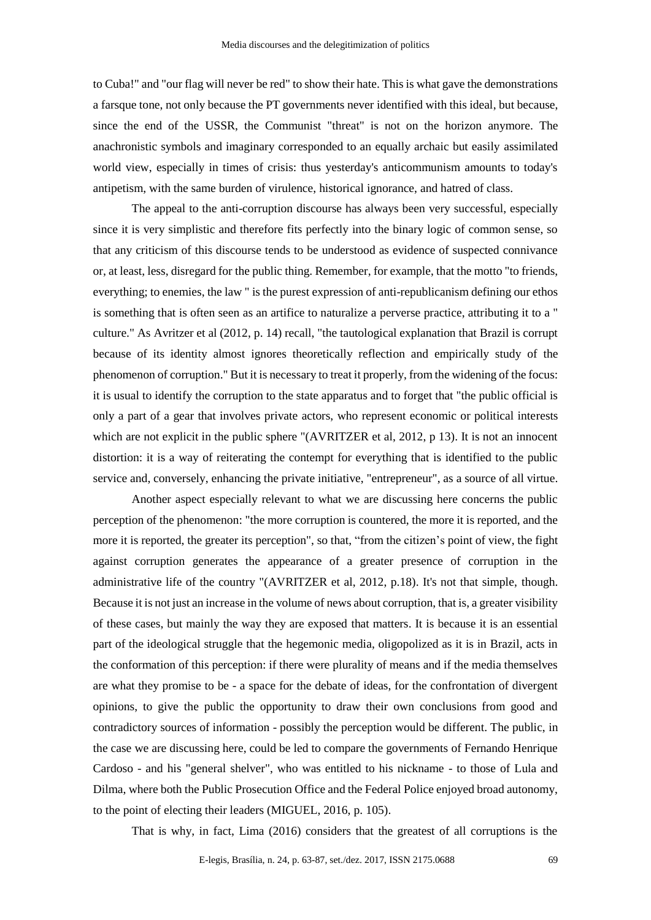to Cuba!" and "our flag will never be red" to show their hate. This is what gave the demonstrations a farsque tone, not only because the PT governments never identified with this ideal, but because, since the end of the USSR, the Communist "threat" is not on the horizon anymore. The anachronistic symbols and imaginary corresponded to an equally archaic but easily assimilated world view, especially in times of crisis: thus yesterday's anticommunism amounts to today's antipetism, with the same burden of virulence, historical ignorance, and hatred of class.

The appeal to the anti-corruption discourse has always been very successful, especially since it is very simplistic and therefore fits perfectly into the binary logic of common sense, so that any criticism of this discourse tends to be understood as evidence of suspected connivance or, at least, less, disregard for the public thing. Remember, for example, that the motto "to friends, everything; to enemies, the law " is the purest expression of anti-republicanism defining our ethos is something that is often seen as an artifice to naturalize a perverse practice, attributing it to a " culture." As Avritzer et al (2012, p. 14) recall, "the tautological explanation that Brazil is corrupt because of its identity almost ignores theoretically reflection and empirically study of the phenomenon of corruption." But it is necessary to treat it properly, from the widening of the focus: it is usual to identify the corruption to the state apparatus and to forget that "the public official is only a part of a gear that involves private actors, who represent economic or political interests which are not explicit in the public sphere "(AVRITZER et al, 2012, p 13). It is not an innocent distortion: it is a way of reiterating the contempt for everything that is identified to the public service and, conversely, enhancing the private initiative, "entrepreneur", as a source of all virtue.

Another aspect especially relevant to what we are discussing here concerns the public perception of the phenomenon: "the more corruption is countered, the more it is reported, and the more it is reported, the greater its perception", so that, "from the citizen's point of view, the fight against corruption generates the appearance of a greater presence of corruption in the administrative life of the country "(AVRITZER et al, 2012, p.18). It's not that simple, though. Because it is not just an increase in the volume of news about corruption, that is, a greater visibility of these cases, but mainly the way they are exposed that matters. It is because it is an essential part of the ideological struggle that the hegemonic media, oligopolized as it is in Brazil, acts in the conformation of this perception: if there were plurality of means and if the media themselves are what they promise to be - a space for the debate of ideas, for the confrontation of divergent opinions, to give the public the opportunity to draw their own conclusions from good and contradictory sources of information - possibly the perception would be different. The public, in the case we are discussing here, could be led to compare the governments of Fernando Henrique Cardoso - and his "general shelver", who was entitled to his nickname - to those of Lula and Dilma, where both the Public Prosecution Office and the Federal Police enjoyed broad autonomy, to the point of electing their leaders (MIGUEL, 2016, p. 105).

That is why, in fact, Lima (2016) considers that the greatest of all corruptions is the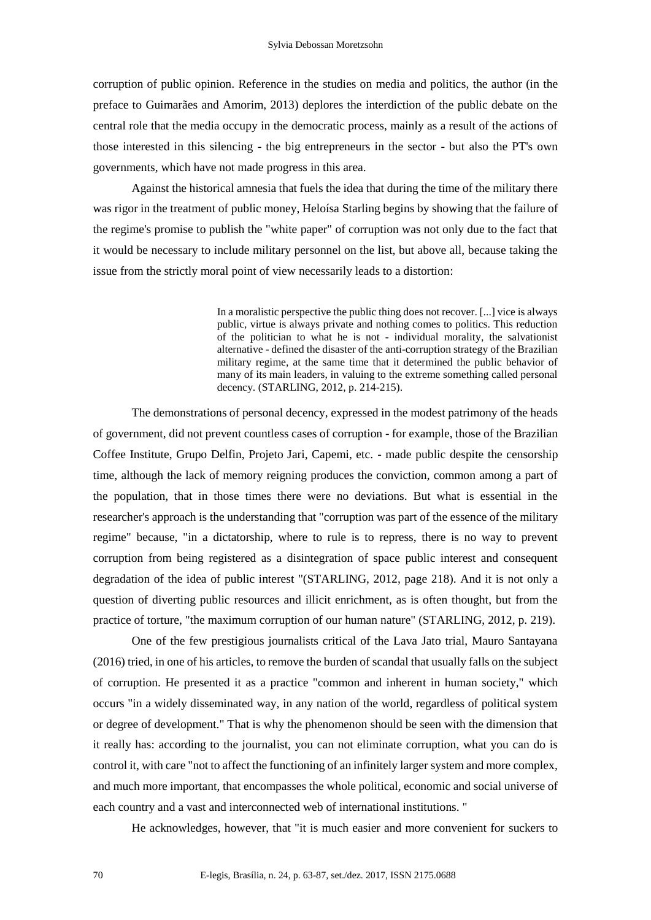corruption of public opinion. Reference in the studies on media and politics, the author (in the preface to Guimarães and Amorim, 2013) deplores the interdiction of the public debate on the central role that the media occupy in the democratic process, mainly as a result of the actions of those interested in this silencing - the big entrepreneurs in the sector - but also the PT's own governments, which have not made progress in this area.

Against the historical amnesia that fuels the idea that during the time of the military there was rigor in the treatment of public money, Heloísa Starling begins by showing that the failure of the regime's promise to publish the "white paper" of corruption was not only due to the fact that it would be necessary to include military personnel on the list, but above all, because taking the issue from the strictly moral point of view necessarily leads to a distortion:

> In a moralistic perspective the public thing does not recover. [...] vice is always public, virtue is always private and nothing comes to politics. This reduction of the politician to what he is not - individual morality, the salvationist alternative - defined the disaster of the anti-corruption strategy of the Brazilian military regime, at the same time that it determined the public behavior of many of its main leaders, in valuing to the extreme something called personal decency. (STARLING, 2012, p. 214-215).

The demonstrations of personal decency, expressed in the modest patrimony of the heads of government, did not prevent countless cases of corruption - for example, those of the Brazilian Coffee Institute, Grupo Delfin, Projeto Jari, Capemi, etc. - made public despite the censorship time, although the lack of memory reigning produces the conviction, common among a part of the population, that in those times there were no deviations. But what is essential in the researcher's approach is the understanding that "corruption was part of the essence of the military regime" because, "in a dictatorship, where to rule is to repress, there is no way to prevent corruption from being registered as a disintegration of space public interest and consequent degradation of the idea of public interest "(STARLING, 2012, page 218). And it is not only a question of diverting public resources and illicit enrichment, as is often thought, but from the practice of torture, "the maximum corruption of our human nature" (STARLING, 2012, p. 219).

One of the few prestigious journalists critical of the Lava Jato trial, Mauro Santayana (2016) tried, in one of his articles, to remove the burden of scandal that usually falls on the subject of corruption. He presented it as a practice "common and inherent in human society," which occurs "in a widely disseminated way, in any nation of the world, regardless of political system or degree of development." That is why the phenomenon should be seen with the dimension that it really has: according to the journalist, you can not eliminate corruption, what you can do is control it, with care "not to affect the functioning of an infinitely larger system and more complex, and much more important, that encompasses the whole political, economic and social universe of each country and a vast and interconnected web of international institutions. "

He acknowledges, however, that "it is much easier and more convenient for suckers to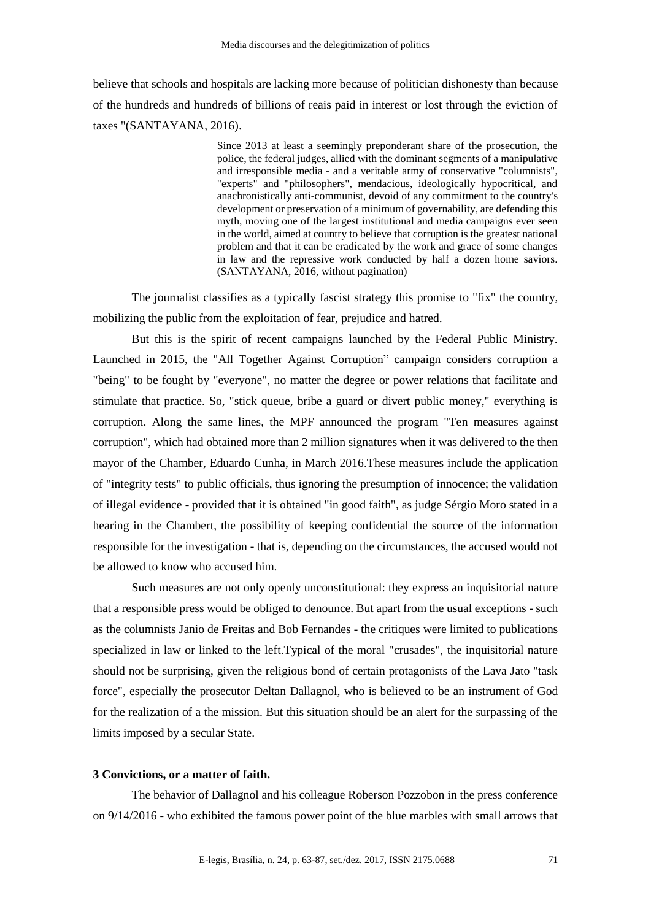believe that schools and hospitals are lacking more because of politician dishonesty than because of the hundreds and hundreds of billions of reais paid in interest or lost through the eviction of taxes "(SANTAYANA, 2016).

> Since 2013 at least a seemingly preponderant share of the prosecution, the police, the federal judges, allied with the dominant segments of a manipulative and irresponsible media - and a veritable army of conservative "columnists", "experts" and "philosophers", mendacious, ideologically hypocritical, and anachronistically anti-communist, devoid of any commitment to the country's development or preservation of a minimum of governability, are defending this myth, moving one of the largest institutional and media campaigns ever seen in the world, aimed at country to believe that corruption is the greatest national problem and that it can be eradicated by the work and grace of some changes in law and the repressive work conducted by half a dozen home saviors. (SANTAYANA, 2016, without pagination)

The journalist classifies as a typically fascist strategy this promise to "fix" the country, mobilizing the public from the exploitation of fear, prejudice and hatred.

But this is the spirit of recent campaigns launched by the Federal Public Ministry. Launched in 2015, the "All Together Against Corruption" campaign considers corruption a "being" to be fought by "everyone", no matter the degree or power relations that facilitate and stimulate that practice. So, "stick queue, bribe a guard or divert public money," everything is corruption. Along the same lines, the MPF announced the program "Ten measures against corruption", which had obtained more than 2 million signatures when it was delivered to the then mayor of the Chamber, Eduardo Cunha, in March 2016.These measures include the application of "integrity tests" to public officials, thus ignoring the presumption of innocence; the validation of illegal evidence - provided that it is obtained "in good faith", as judge Sérgio Moro stated in a hearing in the Chambert, the possibility of keeping confidential the source of the information responsible for the investigation - that is, depending on the circumstances, the accused would not be allowed to know who accused him.

Such measures are not only openly unconstitutional: they express an inquisitorial nature that a responsible press would be obliged to denounce. But apart from the usual exceptions - such as the columnists Janio de Freitas and Bob Fernandes - the critiques were limited to publications specialized in law or linked to the left.Typical of the moral "crusades", the inquisitorial nature should not be surprising, given the religious bond of certain protagonists of the Lava Jato "task force", especially the prosecutor Deltan Dallagnol, who is believed to be an instrument of God for the realization of a the mission. But this situation should be an alert for the surpassing of the limits imposed by a secular State.

# **3 Convictions, or a matter of faith.**

The behavior of Dallagnol and his colleague Roberson Pozzobon in the press conference on 9/14/2016 - who exhibited the famous power point of the blue marbles with small arrows that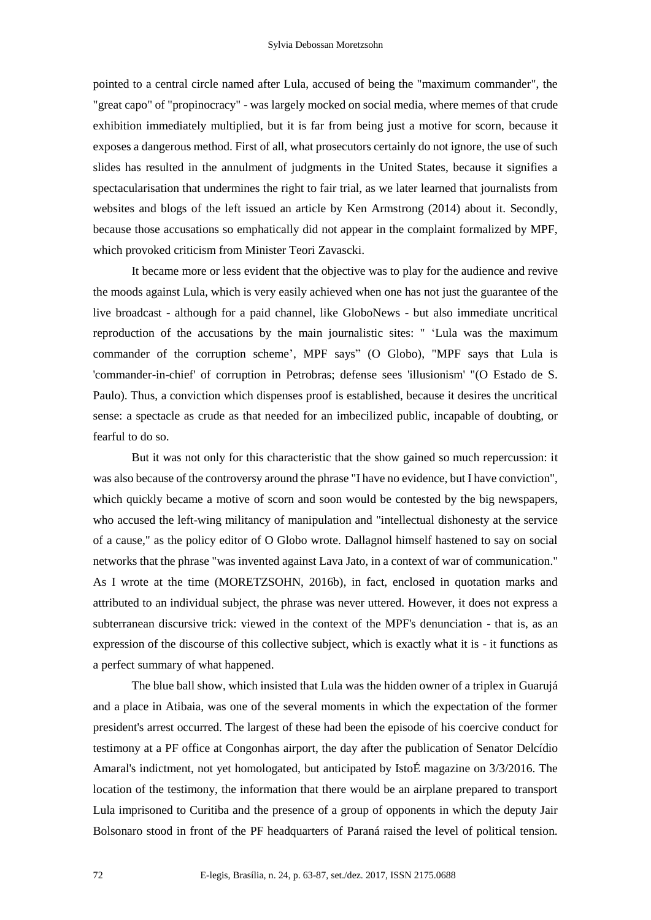pointed to a central circle named after Lula, accused of being the "maximum commander", the "great capo" of "propinocracy" - was largely mocked on social media, where memes of that crude exhibition immediately multiplied, but it is far from being just a motive for scorn, because it exposes a dangerous method. First of all, what prosecutors certainly do not ignore, the use of such slides has resulted in the annulment of judgments in the United States, because it signifies a spectacularisation that undermines the right to fair trial, as we later learned that journalists from websites and blogs of the left issued an article by Ken Armstrong (2014) about it. Secondly, because those accusations so emphatically did not appear in the complaint formalized by MPF, which provoked criticism from Minister Teori Zavascki.

It became more or less evident that the objective was to play for the audience and revive the moods against Lula, which is very easily achieved when one has not just the guarantee of the live broadcast - although for a paid channel, like GloboNews - but also immediate uncritical reproduction of the accusations by the main journalistic sites: " 'Lula was the maximum commander of the corruption scheme', MPF says" (O Globo), "MPF says that Lula is 'commander-in-chief' of corruption in Petrobras; defense sees 'illusionism' "(O Estado de S. Paulo). Thus, a conviction which dispenses proof is established, because it desires the uncritical sense: a spectacle as crude as that needed for an imbecilized public, incapable of doubting, or fearful to do so.

But it was not only for this characteristic that the show gained so much repercussion: it was also because of the controversy around the phrase "I have no evidence, but I have conviction", which quickly became a motive of scorn and soon would be contested by the big newspapers, who accused the left-wing militancy of manipulation and "intellectual dishonesty at the service of a cause," as the policy editor of O Globo wrote. Dallagnol himself hastened to say on social networks that the phrase "was invented against Lava Jato, in a context of war of communication." As I wrote at the time (MORETZSOHN, 2016b), in fact, enclosed in quotation marks and attributed to an individual subject, the phrase was never uttered. However, it does not express a subterranean discursive trick: viewed in the context of the MPF's denunciation - that is, as an expression of the discourse of this collective subject, which is exactly what it is - it functions as a perfect summary of what happened.

The blue ball show, which insisted that Lula was the hidden owner of a triplex in Guarujá and a place in Atibaia, was one of the several moments in which the expectation of the former president's arrest occurred. The largest of these had been the episode of his coercive conduct for testimony at a PF office at Congonhas airport, the day after the publication of Senator Delcídio Amaral's indictment, not yet homologated, but anticipated by IstoÉ magazine on 3/3/2016. The location of the testimony, the information that there would be an airplane prepared to transport Lula imprisoned to Curitiba and the presence of a group of opponents in which the deputy Jair Bolsonaro stood in front of the PF headquarters of Paraná raised the level of political tension.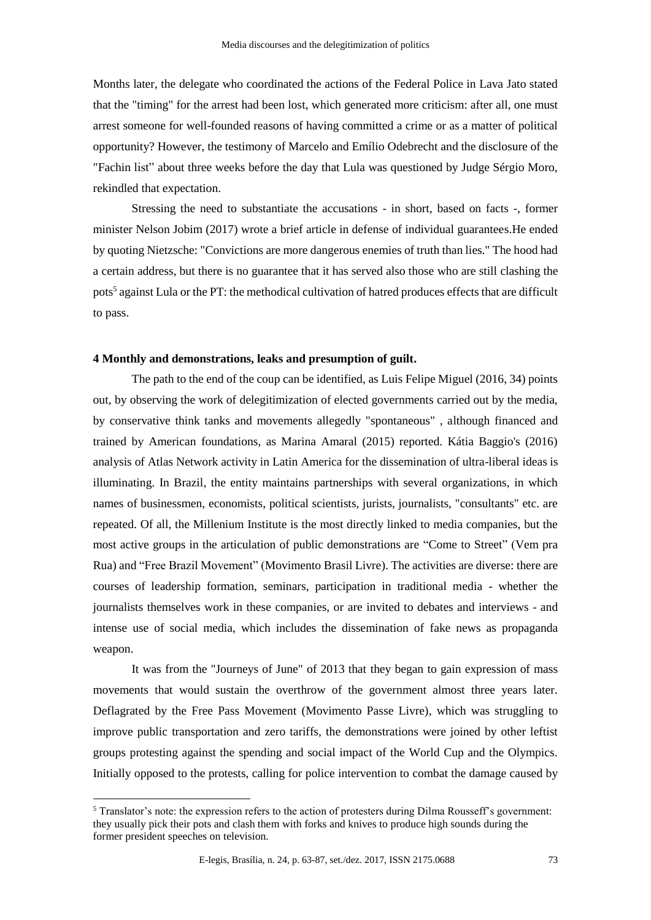Months later, the delegate who coordinated the actions of the Federal Police in Lava Jato stated that the "timing" for the arrest had been lost, which generated more criticism: after all, one must arrest someone for well-founded reasons of having committed a crime or as a matter of political opportunity? However, the testimony of Marcelo and Emílio Odebrecht and the disclosure of the "Fachin list" about three weeks before the day that Lula was questioned by Judge Sérgio Moro, rekindled that expectation.

Stressing the need to substantiate the accusations - in short, based on facts -, former minister Nelson Jobim (2017) wrote a brief article in defense of individual guarantees.He ended by quoting Nietzsche: "Convictions are more dangerous enemies of truth than lies." The hood had a certain address, but there is no guarantee that it has served also those who are still clashing the pots<sup>5</sup> against Lula or the PT: the methodical cultivation of hatred produces effects that are difficult to pass.

#### **4 Monthly and demonstrations, leaks and presumption of guilt.**

The path to the end of the coup can be identified, as Luis Felipe Miguel (2016, 34) points out, by observing the work of delegitimization of elected governments carried out by the media, by conservative think tanks and movements allegedly "spontaneous" , although financed and trained by American foundations, as Marina Amaral (2015) reported. Kátia Baggio's (2016) analysis of Atlas Network activity in Latin America for the dissemination of ultra-liberal ideas is illuminating. In Brazil, the entity maintains partnerships with several organizations, in which names of businessmen, economists, political scientists, jurists, journalists, "consultants" etc. are repeated. Of all, the Millenium Institute is the most directly linked to media companies, but the most active groups in the articulation of public demonstrations are "Come to Street" (Vem pra Rua) and "Free Brazil Movement" (Movimento Brasil Livre). The activities are diverse: there are courses of leadership formation, seminars, participation in traditional media - whether the journalists themselves work in these companies, or are invited to debates and interviews - and intense use of social media, which includes the dissemination of fake news as propaganda weapon.

It was from the "Journeys of June" of 2013 that they began to gain expression of mass movements that would sustain the overthrow of the government almost three years later. Deflagrated by the Free Pass Movement (Movimento Passe Livre), which was struggling to improve public transportation and zero tariffs, the demonstrations were joined by other leftist groups protesting against the spending and social impact of the World Cup and the Olympics. Initially opposed to the protests, calling for police intervention to combat the damage caused by

<sup>5</sup> Translator's note: the expression refers to the action of protesters during Dilma Rousseff's government: they usually pick their pots and clash them with forks and knives to produce high sounds during the former president speeches on television.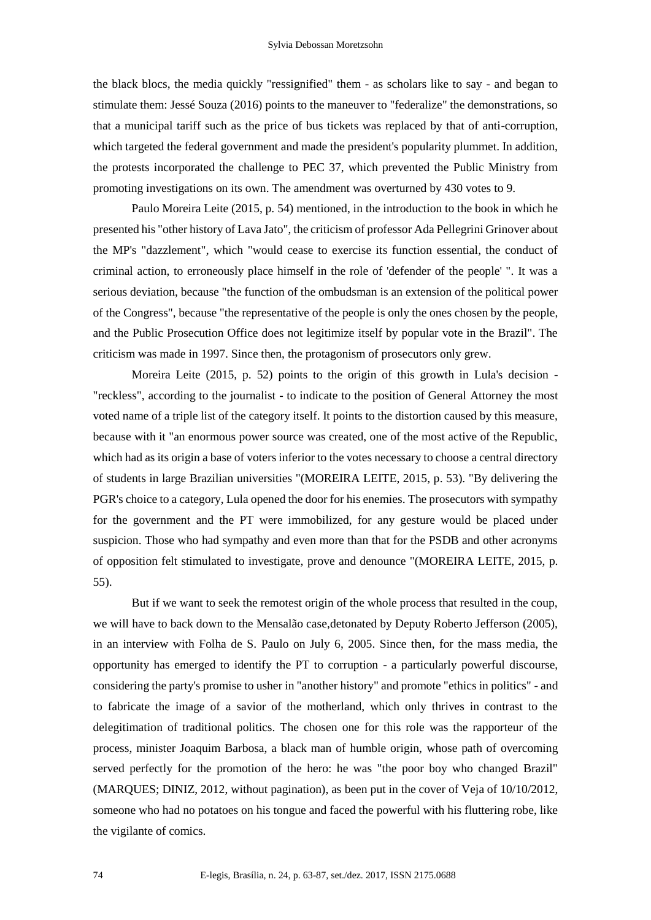the black blocs, the media quickly "ressignified" them - as scholars like to say - and began to stimulate them: Jessé Souza (2016) points to the maneuver to "federalize" the demonstrations, so that a municipal tariff such as the price of bus tickets was replaced by that of anti-corruption, which targeted the federal government and made the president's popularity plummet. In addition, the protests incorporated the challenge to PEC 37, which prevented the Public Ministry from promoting investigations on its own. The amendment was overturned by 430 votes to 9.

Paulo Moreira Leite (2015, p. 54) mentioned, in the introduction to the book in which he presented his "other history of Lava Jato", the criticism of professor Ada Pellegrini Grinover about the MP's "dazzlement", which "would cease to exercise its function essential, the conduct of criminal action, to erroneously place himself in the role of 'defender of the people' ". It was a serious deviation, because "the function of the ombudsman is an extension of the political power of the Congress", because "the representative of the people is only the ones chosen by the people, and the Public Prosecution Office does not legitimize itself by popular vote in the Brazil". The criticism was made in 1997. Since then, the protagonism of prosecutors only grew.

Moreira Leite (2015, p. 52) points to the origin of this growth in Lula's decision - "reckless", according to the journalist - to indicate to the position of General Attorney the most voted name of a triple list of the category itself. It points to the distortion caused by this measure, because with it "an enormous power source was created, one of the most active of the Republic, which had as its origin a base of voters inferior to the votes necessary to choose a central directory of students in large Brazilian universities "(MOREIRA LEITE, 2015, p. 53). "By delivering the PGR's choice to a category, Lula opened the door for his enemies. The prosecutors with sympathy for the government and the PT were immobilized, for any gesture would be placed under suspicion. Those who had sympathy and even more than that for the PSDB and other acronyms of opposition felt stimulated to investigate, prove and denounce "(MOREIRA LEITE, 2015, p. 55).

But if we want to seek the remotest origin of the whole process that resulted in the coup, we will have to back down to the Mensalão case,detonated by Deputy Roberto Jefferson (2005), in an interview with Folha de S. Paulo on July 6, 2005. Since then, for the mass media, the opportunity has emerged to identify the PT to corruption - a particularly powerful discourse, considering the party's promise to usher in "another history" and promote "ethics in politics" - and to fabricate the image of a savior of the motherland, which only thrives in contrast to the delegitimation of traditional politics. The chosen one for this role was the rapporteur of the process, minister Joaquim Barbosa, a black man of humble origin, whose path of overcoming served perfectly for the promotion of the hero: he was "the poor boy who changed Brazil" (MARQUES; DINIZ, 2012, without pagination), as been put in the cover of Veja of 10/10/2012, someone who had no potatoes on his tongue and faced the powerful with his fluttering robe, like the vigilante of comics.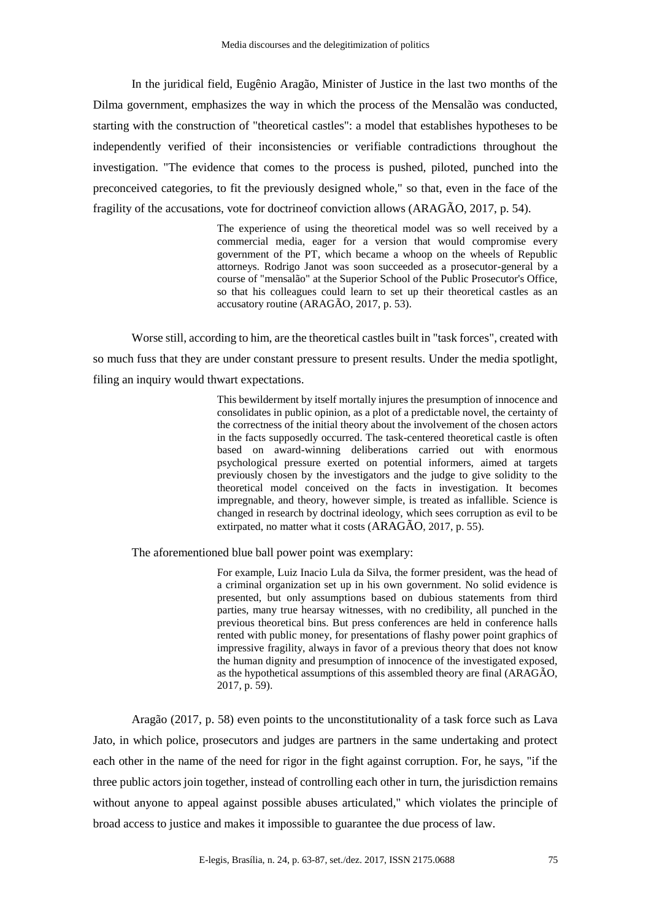In the juridical field, Eugênio Aragão, Minister of Justice in the last two months of the Dilma government, emphasizes the way in which the process of the Mensalão was conducted, starting with the construction of "theoretical castles": a model that establishes hypotheses to be independently verified of their inconsistencies or verifiable contradictions throughout the investigation. "The evidence that comes to the process is pushed, piloted, punched into the preconceived categories, to fit the previously designed whole," so that, even in the face of the fragility of the accusations, vote for doctrineof conviction allows (ARAGÃO, 2017, p. 54).

> The experience of using the theoretical model was so well received by a commercial media, eager for a version that would compromise every government of the PT, which became a whoop on the wheels of Republic attorneys. Rodrigo Janot was soon succeeded as a prosecutor-general by a course of "mensalão" at the Superior School of the Public Prosecutor's Office, so that his colleagues could learn to set up their theoretical castles as an accusatory routine (ARAGÃO, 2017, p. 53).

Worse still, according to him, are the theoretical castles built in "task forces", created with so much fuss that they are under constant pressure to present results. Under the media spotlight, filing an inquiry would thwart expectations.

> This bewilderment by itself mortally injures the presumption of innocence and consolidates in public opinion, as a plot of a predictable novel, the certainty of the correctness of the initial theory about the involvement of the chosen actors in the facts supposedly occurred. The task-centered theoretical castle is often based on award-winning deliberations carried out with enormous psychological pressure exerted on potential informers, aimed at targets previously chosen by the investigators and the judge to give solidity to the theoretical model conceived on the facts in investigation. It becomes impregnable, and theory, however simple, is treated as infallible. Science is changed in research by doctrinal ideology, which sees corruption as evil to be extirpated, no matter what it costs (ARAGÃO, 2017, p. 55).

The aforementioned blue ball power point was exemplary:

For example, Luiz Inacio Lula da Silva, the former president, was the head of a criminal organization set up in his own government. No solid evidence is presented, but only assumptions based on dubious statements from third parties, many true hearsay witnesses, with no credibility, all punched in the previous theoretical bins. But press conferences are held in conference halls rented with public money, for presentations of flashy power point graphics of impressive fragility, always in favor of a previous theory that does not know the human dignity and presumption of innocence of the investigated exposed, as the hypothetical assumptions of this assembled theory are final (ARAGÃO, 2017, p. 59).

Aragão (2017, p. 58) even points to the unconstitutionality of a task force such as Lava Jato, in which police, prosecutors and judges are partners in the same undertaking and protect each other in the name of the need for rigor in the fight against corruption. For, he says, "if the three public actors join together, instead of controlling each other in turn, the jurisdiction remains without anyone to appeal against possible abuses articulated," which violates the principle of broad access to justice and makes it impossible to guarantee the due process of law.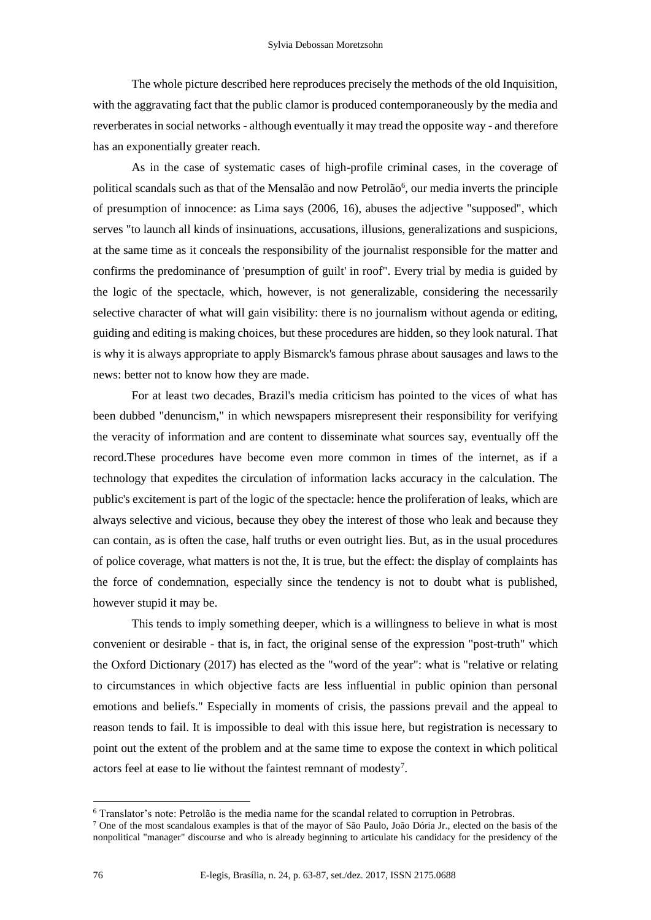The whole picture described here reproduces precisely the methods of the old Inquisition, with the aggravating fact that the public clamor is produced contemporaneously by the media and reverberates in social networks - although eventually it may tread the opposite way - and therefore has an exponentially greater reach.

As in the case of systematic cases of high-profile criminal cases, in the coverage of political scandals such as that of the Mensalão and now Petrolão<sup>6</sup>, our media inverts the principle of presumption of innocence: as Lima says (2006, 16), abuses the adjective "supposed", which serves "to launch all kinds of insinuations, accusations, illusions, generalizations and suspicions, at the same time as it conceals the responsibility of the journalist responsible for the matter and confirms the predominance of 'presumption of guilt' in roof". Every trial by media is guided by the logic of the spectacle, which, however, is not generalizable, considering the necessarily selective character of what will gain visibility: there is no journalism without agenda or editing, guiding and editing is making choices, but these procedures are hidden, so they look natural. That is why it is always appropriate to apply Bismarck's famous phrase about sausages and laws to the news: better not to know how they are made.

For at least two decades, Brazil's media criticism has pointed to the vices of what has been dubbed "denuncism," in which newspapers misrepresent their responsibility for verifying the veracity of information and are content to disseminate what sources say, eventually off the record.These procedures have become even more common in times of the internet, as if a technology that expedites the circulation of information lacks accuracy in the calculation. The public's excitement is part of the logic of the spectacle: hence the proliferation of leaks, which are always selective and vicious, because they obey the interest of those who leak and because they can contain, as is often the case, half truths or even outright lies. But, as in the usual procedures of police coverage, what matters is not the, It is true, but the effect: the display of complaints has the force of condemnation, especially since the tendency is not to doubt what is published, however stupid it may be.

This tends to imply something deeper, which is a willingness to believe in what is most convenient or desirable - that is, in fact, the original sense of the expression "post-truth" which the Oxford Dictionary (2017) has elected as the "word of the year": what is "relative or relating to circumstances in which objective facts are less influential in public opinion than personal emotions and beliefs." Especially in moments of crisis, the passions prevail and the appeal to reason tends to fail. It is impossible to deal with this issue here, but registration is necessary to point out the extent of the problem and at the same time to expose the context in which political actors feel at ease to lie without the faintest remnant of modesty<sup>7</sup>.

<u>.</u>

<sup>6</sup> Translator's note: Petrolão is the media name for the scandal related to corruption in Petrobras.

<sup>&</sup>lt;sup>7</sup> One of the most scandalous examples is that of the mayor of São Paulo, João Dória Jr., elected on the basis of the nonpolitical "manager" discourse and who is already beginning to articulate his candidacy for the presidency of the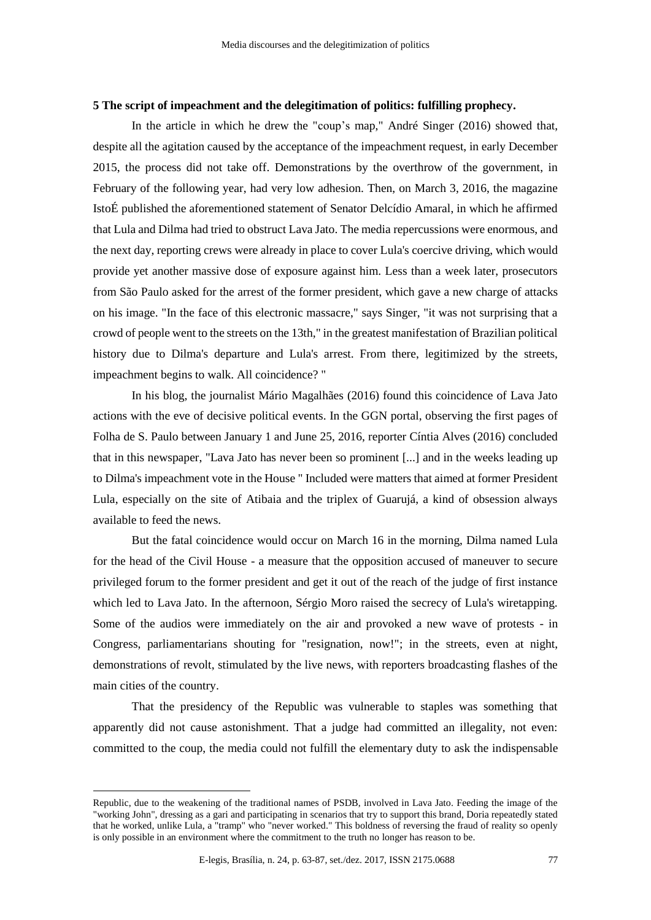## **5 The script of impeachment and the delegitimation of politics: fulfilling prophecy.**

In the article in which he drew the "coup's map," André Singer (2016) showed that, despite all the agitation caused by the acceptance of the impeachment request, in early December 2015, the process did not take off. Demonstrations by the overthrow of the government, in February of the following year, had very low adhesion. Then, on March 3, 2016, the magazine IstoÉ published the aforementioned statement of Senator Delcídio Amaral, in which he affirmed that Lula and Dilma had tried to obstruct Lava Jato. The media repercussions were enormous, and the next day, reporting crews were already in place to cover Lula's coercive driving, which would provide yet another massive dose of exposure against him. Less than a week later, prosecutors from São Paulo asked for the arrest of the former president, which gave a new charge of attacks on his image. "In the face of this electronic massacre," says Singer, "it was not surprising that a crowd of people went to the streets on the 13th," in the greatest manifestation of Brazilian political history due to Dilma's departure and Lula's arrest. From there, legitimized by the streets, impeachment begins to walk. All coincidence? "

In his blog, the journalist Mário Magalhães (2016) found this coincidence of Lava Jato actions with the eve of decisive political events. In the GGN portal, observing the first pages of Folha de S. Paulo between January 1 and June 25, 2016, reporter Cíntia Alves (2016) concluded that in this newspaper, "Lava Jato has never been so prominent [...] and in the weeks leading up to Dilma's impeachment vote in the House " Included were matters that aimed at former President Lula, especially on the site of Atibaia and the triplex of Guarujá, a kind of obsession always available to feed the news.

But the fatal coincidence would occur on March 16 in the morning, Dilma named Lula for the head of the Civil House - a measure that the opposition accused of maneuver to secure privileged forum to the former president and get it out of the reach of the judge of first instance which led to Lava Jato. In the afternoon, Sérgio Moro raised the secrecy of Lula's wiretapping. Some of the audios were immediately on the air and provoked a new wave of protests - in Congress, parliamentarians shouting for "resignation, now!"; in the streets, even at night, demonstrations of revolt, stimulated by the live news, with reporters broadcasting flashes of the main cities of the country.

That the presidency of the Republic was vulnerable to staples was something that apparently did not cause astonishment. That a judge had committed an illegality, not even: committed to the coup, the media could not fulfill the elementary duty to ask the indispensable

Republic, due to the weakening of the traditional names of PSDB, involved in Lava Jato. Feeding the image of the "working John", dressing as a gari and participating in scenarios that try to support this brand, Doria repeatedly stated that he worked, unlike Lula, a "tramp" who "never worked." This boldness of reversing the fraud of reality so openly is only possible in an environment where the commitment to the truth no longer has reason to be.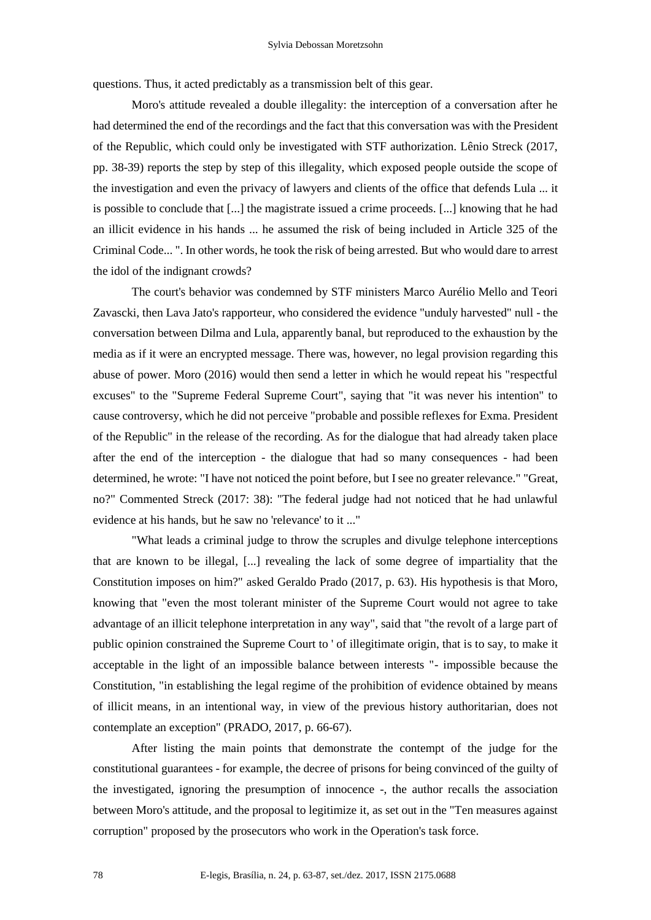questions. Thus, it acted predictably as a transmission belt of this gear.

Moro's attitude revealed a double illegality: the interception of a conversation after he had determined the end of the recordings and the fact that this conversation was with the President of the Republic, which could only be investigated with STF authorization. Lênio Streck (2017, pp. 38-39) reports the step by step of this illegality, which exposed people outside the scope of the investigation and even the privacy of lawyers and clients of the office that defends Lula ... it is possible to conclude that [...] the magistrate issued a crime proceeds. [...] knowing that he had an illicit evidence in his hands ... he assumed the risk of being included in Article 325 of the Criminal Code... ". In other words, he took the risk of being arrested. But who would dare to arrest the idol of the indignant crowds?

The court's behavior was condemned by STF ministers Marco Aurélio Mello and Teori Zavascki, then Lava Jato's rapporteur, who considered the evidence "unduly harvested" null - the conversation between Dilma and Lula, apparently banal, but reproduced to the exhaustion by the media as if it were an encrypted message. There was, however, no legal provision regarding this abuse of power. Moro (2016) would then send a letter in which he would repeat his "respectful excuses" to the "Supreme Federal Supreme Court", saying that "it was never his intention" to cause controversy, which he did not perceive "probable and possible reflexes for Exma. President of the Republic" in the release of the recording. As for the dialogue that had already taken place after the end of the interception - the dialogue that had so many consequences - had been determined, he wrote: "I have not noticed the point before, but I see no greater relevance." "Great, no?" Commented Streck (2017: 38): "The federal judge had not noticed that he had unlawful evidence at his hands, but he saw no 'relevance' to it ..."

"What leads a criminal judge to throw the scruples and divulge telephone interceptions that are known to be illegal, [...] revealing the lack of some degree of impartiality that the Constitution imposes on him?" asked Geraldo Prado (2017, p. 63). His hypothesis is that Moro, knowing that "even the most tolerant minister of the Supreme Court would not agree to take advantage of an illicit telephone interpretation in any way", said that "the revolt of a large part of public opinion constrained the Supreme Court to ' of illegitimate origin, that is to say, to make it acceptable in the light of an impossible balance between interests "- impossible because the Constitution, "in establishing the legal regime of the prohibition of evidence obtained by means of illicit means, in an intentional way, in view of the previous history authoritarian, does not contemplate an exception" (PRADO, 2017, p. 66-67).

After listing the main points that demonstrate the contempt of the judge for the constitutional guarantees - for example, the decree of prisons for being convinced of the guilty of the investigated, ignoring the presumption of innocence -, the author recalls the association between Moro's attitude, and the proposal to legitimize it, as set out in the "Ten measures against corruption" proposed by the prosecutors who work in the Operation's task force.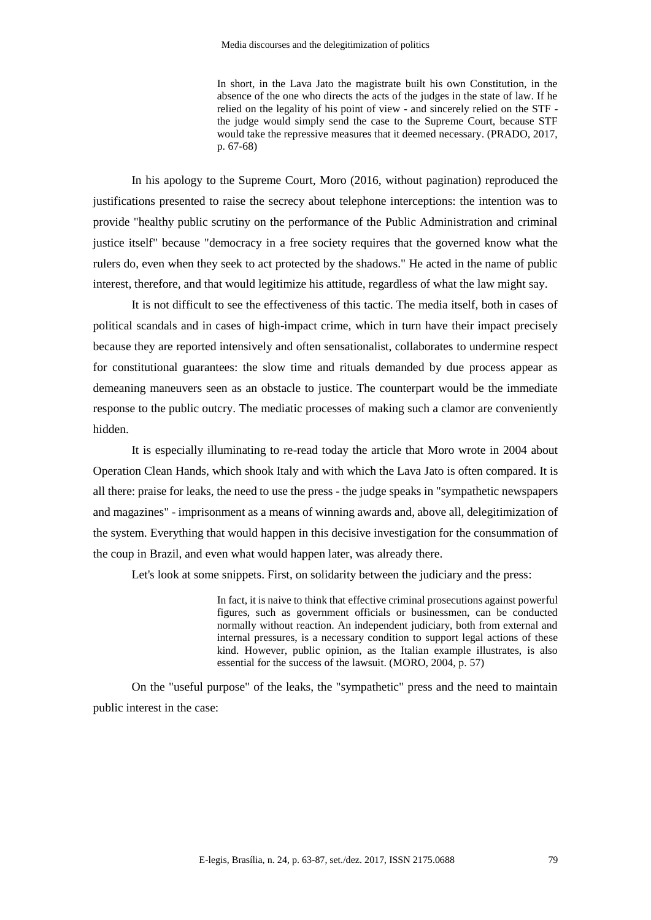In short, in the Lava Jato the magistrate built his own Constitution, in the absence of the one who directs the acts of the judges in the state of law. If he relied on the legality of his point of view - and sincerely relied on the STF the judge would simply send the case to the Supreme Court, because STF would take the repressive measures that it deemed necessary. (PRADO, 2017, p. 67-68)

In his apology to the Supreme Court, Moro (2016, without pagination) reproduced the justifications presented to raise the secrecy about telephone interceptions: the intention was to provide "healthy public scrutiny on the performance of the Public Administration and criminal justice itself" because "democracy in a free society requires that the governed know what the rulers do, even when they seek to act protected by the shadows." He acted in the name of public interest, therefore, and that would legitimize his attitude, regardless of what the law might say.

It is not difficult to see the effectiveness of this tactic. The media itself, both in cases of political scandals and in cases of high-impact crime, which in turn have their impact precisely because they are reported intensively and often sensationalist, collaborates to undermine respect for constitutional guarantees: the slow time and rituals demanded by due process appear as demeaning maneuvers seen as an obstacle to justice. The counterpart would be the immediate response to the public outcry. The mediatic processes of making such a clamor are conveniently hidden.

It is especially illuminating to re-read today the article that Moro wrote in 2004 about Operation Clean Hands, which shook Italy and with which the Lava Jato is often compared. It is all there: praise for leaks, the need to use the press - the judge speaks in "sympathetic newspapers and magazines" - imprisonment as a means of winning awards and, above all, delegitimization of the system. Everything that would happen in this decisive investigation for the consummation of the coup in Brazil, and even what would happen later, was already there.

Let's look at some snippets. First, on solidarity between the judiciary and the press:

In fact, it is naive to think that effective criminal prosecutions against powerful figures, such as government officials or businessmen, can be conducted normally without reaction. An independent judiciary, both from external and internal pressures, is a necessary condition to support legal actions of these kind. However, public opinion, as the Italian example illustrates, is also essential for the success of the lawsuit. (MORO, 2004, p. 57)

On the "useful purpose" of the leaks, the "sympathetic" press and the need to maintain public interest in the case: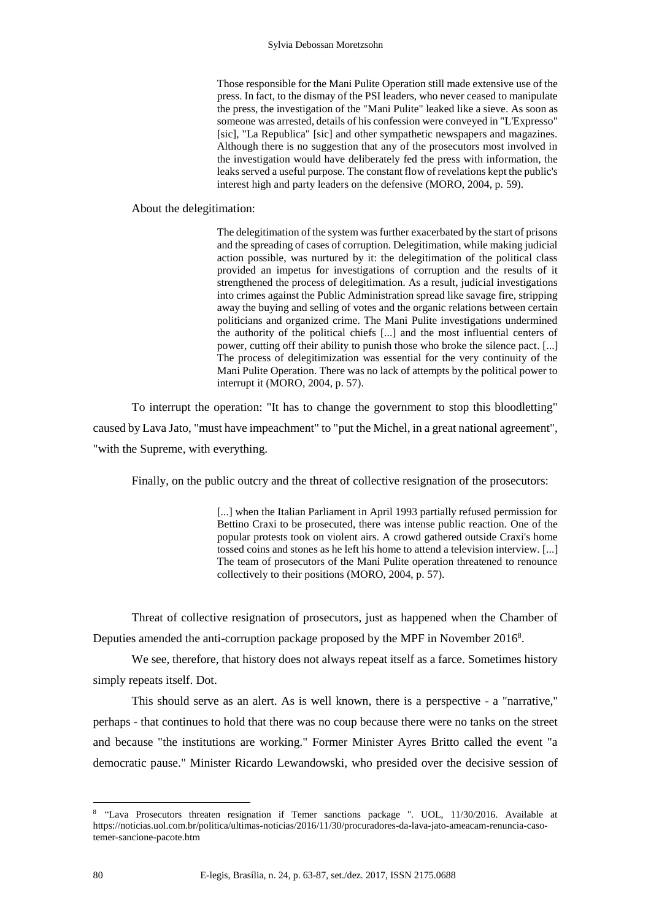Those responsible for the Mani Pulite Operation still made extensive use of the press. In fact, to the dismay of the PSI leaders, who never ceased to manipulate the press, the investigation of the "Mani Pulite" leaked like a sieve. As soon as someone was arrested, details of his confession were conveyed in "L'Expresso" [sic], "La Republica" [sic] and other sympathetic newspapers and magazines. Although there is no suggestion that any of the prosecutors most involved in the investigation would have deliberately fed the press with information, the leaks served a useful purpose. The constant flow of revelations kept the public's interest high and party leaders on the defensive (MORO, 2004, p. 59).

About the delegitimation:

The delegitimation of the system was further exacerbated by the start of prisons and the spreading of cases of corruption. Delegitimation, while making judicial action possible, was nurtured by it: the delegitimation of the political class provided an impetus for investigations of corruption and the results of it strengthened the process of delegitimation. As a result, judicial investigations into crimes against the Public Administration spread like savage fire, stripping away the buying and selling of votes and the organic relations between certain politicians and organized crime. The Mani Pulite investigations undermined the authority of the political chiefs [...] and the most influential centers of power, cutting off their ability to punish those who broke the silence pact. [...] The process of delegitimization was essential for the very continuity of the Mani Pulite Operation. There was no lack of attempts by the political power to interrupt it (MORO, 2004, p. 57).

To interrupt the operation: "It has to change the government to stop this bloodletting" caused by Lava Jato, "must have impeachment" to "put the Michel, in a great national agreement", "with the Supreme, with everything.

Finally, on the public outcry and the threat of collective resignation of the prosecutors:

[...] when the Italian Parliament in April 1993 partially refused permission for Bettino Craxi to be prosecuted, there was intense public reaction. One of the popular protests took on violent airs. A crowd gathered outside Craxi's home tossed coins and stones as he left his home to attend a television interview. [...] The team of prosecutors of the Mani Pulite operation threatened to renounce collectively to their positions (MORO, 2004, p. 57).

Threat of collective resignation of prosecutors, just as happened when the Chamber of Deputies amended the anti-corruption package proposed by the MPF in November 2016<sup>8</sup>.

We see, therefore, that history does not always repeat itself as a farce. Sometimes history simply repeats itself. Dot.

This should serve as an alert. As is well known, there is a perspective - a "narrative," perhaps - that continues to hold that there was no coup because there were no tanks on the street and because "the institutions are working." Former Minister Ayres Britto called the event "a democratic pause." Minister Ricardo Lewandowski, who presided over the decisive session of

<sup>8</sup> "Lava Prosecutors threaten resignation if Temer sanctions package ". UOL, 11/30/2016. Available at https://noticias.uol.com.br/politica/ultimas-noticias/2016/11/30/procuradores-da-lava-jato-ameacam-renuncia-casotemer-sancione-pacote.htm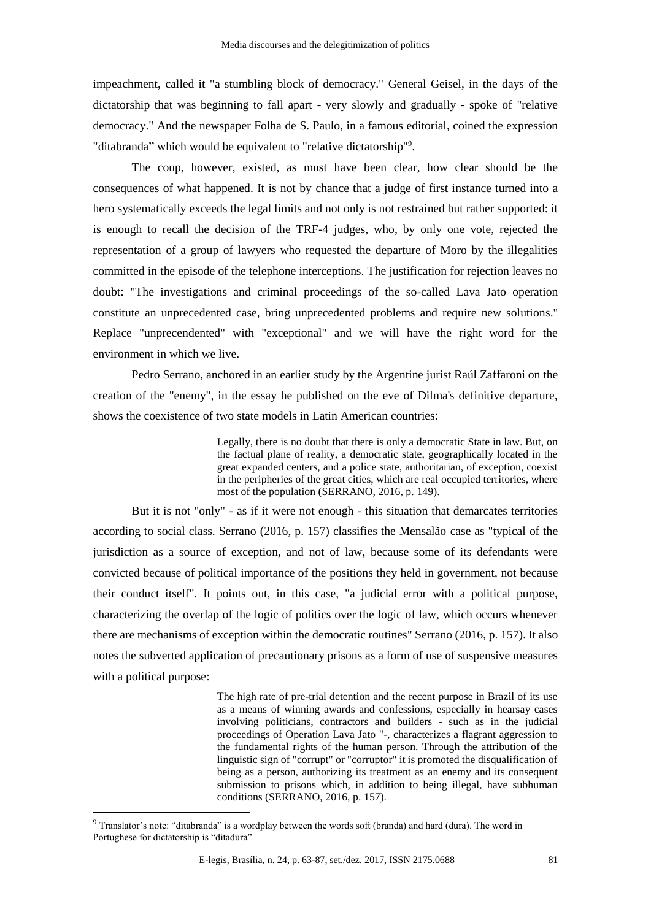impeachment, called it "a stumbling block of democracy." General Geisel, in the days of the dictatorship that was beginning to fall apart - very slowly and gradually - spoke of "relative democracy." And the newspaper Folha de S. Paulo, in a famous editorial, coined the expression "ditabranda" which would be equivalent to "relative dictatorship"<sup>9</sup>.

The coup, however, existed, as must have been clear, how clear should be the consequences of what happened. It is not by chance that a judge of first instance turned into a hero systematically exceeds the legal limits and not only is not restrained but rather supported: it is enough to recall the decision of the TRF-4 judges, who, by only one vote, rejected the representation of a group of lawyers who requested the departure of Moro by the illegalities committed in the episode of the telephone interceptions. The justification for rejection leaves no doubt: "The investigations and criminal proceedings of the so-called Lava Jato operation constitute an unprecedented case, bring unprecedented problems and require new solutions." Replace "unprecendented" with "exceptional" and we will have the right word for the environment in which we live.

Pedro Serrano, anchored in an earlier study by the Argentine jurist Raúl Zaffaroni on the creation of the "enemy", in the essay he published on the eve of Dilma's definitive departure, shows the coexistence of two state models in Latin American countries:

> Legally, there is no doubt that there is only a democratic State in law. But, on the factual plane of reality, a democratic state, geographically located in the great expanded centers, and a police state, authoritarian, of exception, coexist in the peripheries of the great cities, which are real occupied territories, where most of the population (SERRANO, 2016, p. 149).

But it is not "only" - as if it were not enough - this situation that demarcates territories according to social class. Serrano (2016, p. 157) classifies the Mensalão case as "typical of the jurisdiction as a source of exception, and not of law, because some of its defendants were convicted because of political importance of the positions they held in government, not because their conduct itself". It points out, in this case, "a judicial error with a political purpose, characterizing the overlap of the logic of politics over the logic of law, which occurs whenever there are mechanisms of exception within the democratic routines" Serrano (2016, p. 157). It also notes the subverted application of precautionary prisons as a form of use of suspensive measures with a political purpose:

> The high rate of pre-trial detention and the recent purpose in Brazil of its use as a means of winning awards and confessions, especially in hearsay cases involving politicians, contractors and builders - such as in the judicial proceedings of Operation Lava Jato "-, characterizes a flagrant aggression to the fundamental rights of the human person. Through the attribution of the linguistic sign of "corrupt" or "corruptor" it is promoted the disqualification of being as a person, authorizing its treatment as an enemy and its consequent submission to prisons which, in addition to being illegal, have subhuman conditions (SERRANO, 2016, p. 157).

<sup>9</sup> Translator's note: "ditabranda" is a wordplay between the words soft (branda) and hard (dura). The word in Portughese for dictatorship is "ditadura".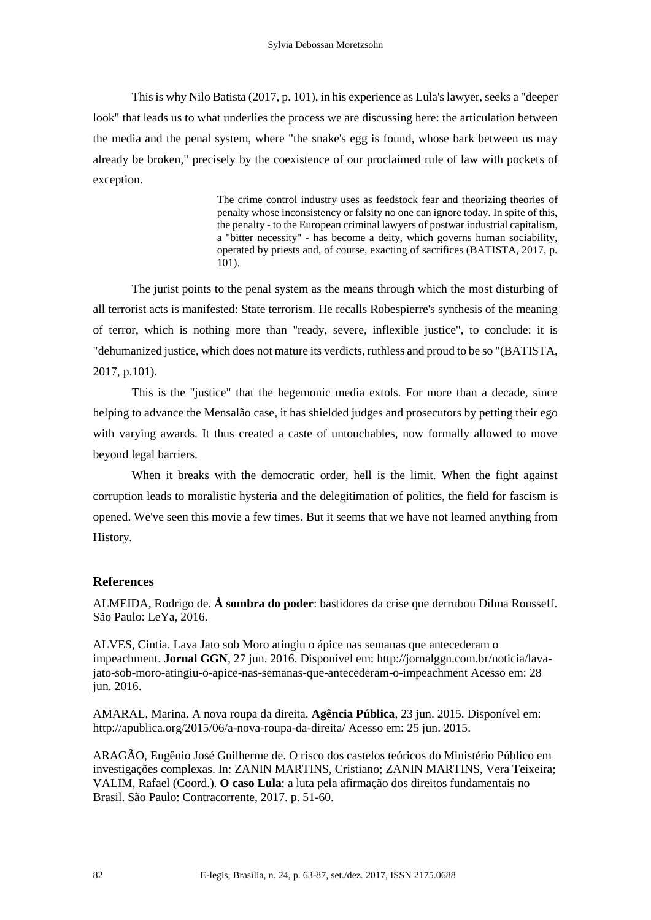This is why Nilo Batista (2017, p. 101), in his experience as Lula's lawyer, seeks a "deeper look" that leads us to what underlies the process we are discussing here: the articulation between the media and the penal system, where "the snake's egg is found, whose bark between us may already be broken," precisely by the coexistence of our proclaimed rule of law with pockets of exception.

> The crime control industry uses as feedstock fear and theorizing theories of penalty whose inconsistency or falsity no one can ignore today. In spite of this, the penalty - to the European criminal lawyers of postwar industrial capitalism, a "bitter necessity" - has become a deity, which governs human sociability, operated by priests and, of course, exacting of sacrifices (BATISTA, 2017, p. 101).

The jurist points to the penal system as the means through which the most disturbing of all terrorist acts is manifested: State terrorism. He recalls Robespierre's synthesis of the meaning of terror, which is nothing more than "ready, severe, inflexible justice", to conclude: it is "dehumanized justice, which does not mature its verdicts, ruthless and proud to be so "(BATISTA, 2017, p.101).

This is the "justice" that the hegemonic media extols. For more than a decade, since helping to advance the Mensalão case, it has shielded judges and prosecutors by petting their ego with varying awards. It thus created a caste of untouchables, now formally allowed to move beyond legal barriers.

When it breaks with the democratic order, hell is the limit. When the fight against corruption leads to moralistic hysteria and the delegitimation of politics, the field for fascism is opened. We've seen this movie a few times. But it seems that we have not learned anything from History.

### **References**

ALMEIDA, Rodrigo de. **À sombra do poder**: bastidores da crise que derrubou Dilma Rousseff. São Paulo: LeYa, 2016.

ALVES, Cintia. Lava Jato sob Moro atingiu o ápice nas semanas que antecederam o impeachment. **Jornal GGN**, 27 jun. 2016. Disponível em: http://jornalggn.com.br/noticia/lavajato-sob-moro-atingiu-o-apice-nas-semanas-que-antecederam-o-impeachment Acesso em: 28 jun. 2016.

AMARAL, Marina. A nova roupa da direita. **Agência Pública**, 23 jun. 2015. Disponível em: http://apublica.org/2015/06/a-nova-roupa-da-direita/ Acesso em: 25 jun. 2015.

ARAGÃO, Eugênio José Guilherme de. O risco dos castelos teóricos do Ministério Público em investigações complexas. In: ZANIN MARTINS, Cristiano; ZANIN MARTINS, Vera Teixeira; VALIM, Rafael (Coord.). **O caso Lula**: a luta pela afirmação dos direitos fundamentais no Brasil. São Paulo: Contracorrente, 2017. p. 51-60.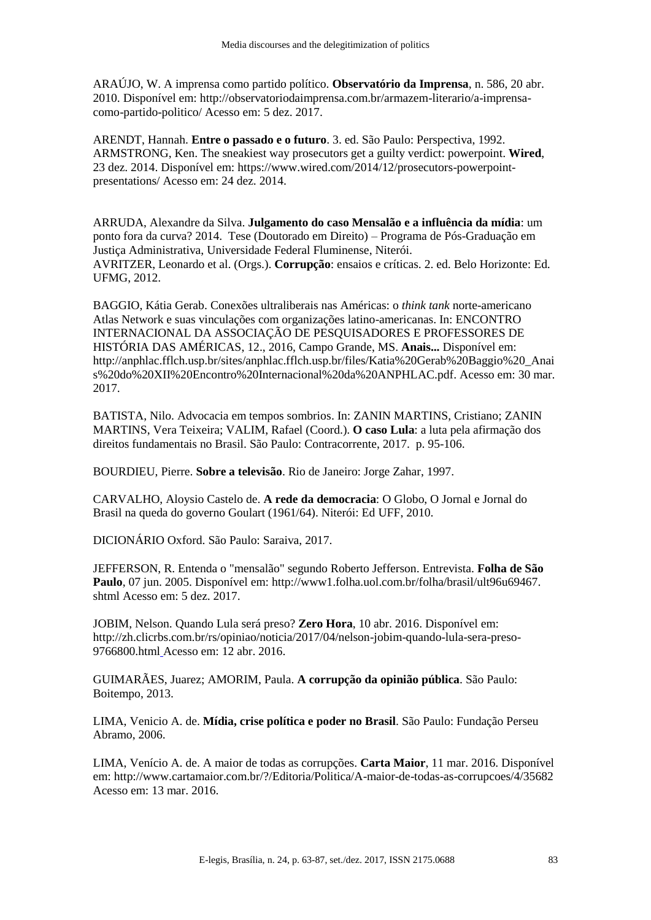ARAÚJO, W. A imprensa como partido político. **Observatório da Imprensa**, n. 586, 20 abr. 2010. Disponível em: http://observatoriodaimprensa.com.br/armazem-literario/a-imprensacomo-partido-politico/ Acesso em: 5 dez. 2017.

ARENDT, Hannah. **Entre o passado e o futuro**. 3. ed. São Paulo: Perspectiva, 1992. ARMSTRONG, Ken. The sneakiest way prosecutors get a guilty verdict: powerpoint. **Wired**, 23 dez. 2014. Disponível em: [https://www.wired.com/2014/12/prosecutors-powerpoint](https://www.wired.com/2014/12/prosecutors-powerpoint-presentations/)[presentations/](https://www.wired.com/2014/12/prosecutors-powerpoint-presentations/) Acesso em: 24 dez. 2014.

ARRUDA, Alexandre da Silva. **Julgamento do caso Mensalão e a influência da mídia**: um ponto fora da curva? 2014. Tese (Doutorado em Direito) – Programa de Pós-Graduação em Justiça Administrativa, Universidade Federal Fluminense, Niterói. AVRITZER, Leonardo et al. (Orgs.). **Corrupção**: ensaios e críticas. 2. ed. Belo Horizonte: Ed. UFMG, 2012.

BAGGIO, Kátia Gerab. Conexões ultraliberais nas Américas: o *think tank* norte-americano Atlas Network e suas vinculações com organizações latino-americanas. In: ENCONTRO INTERNACIONAL DA ASSOCIAÇÃO DE PESQUISADORES E PROFESSORES DE HISTÓRIA DAS AMÉRICAS, 12., 2016, Campo Grande, MS. **Anais...** Disponível em: http://anphlac.fflch.usp.br/sites/anphlac.fflch.usp.br/files/Katia%20Gerab%20Baggio%20\_Anai s%20do%20XII%20Encontro%20Internacional%20da%20ANPHLAC.pdf. Acesso em: 30 mar. 2017.

BATISTA, Nilo. Advocacia em tempos sombrios. In: ZANIN MARTINS, Cristiano; ZANIN MARTINS, Vera Teixeira; VALIM, Rafael (Coord.). **O caso Lula**: a luta pela afirmação dos direitos fundamentais no Brasil. São Paulo: Contracorrente, 2017. p. 95-106.

BOURDIEU, Pierre. **Sobre a televisão**. Rio de Janeiro: Jorge Zahar, 1997.

CARVALHO, Aloysio Castelo de. **A rede da democracia**: O Globo, O Jornal e Jornal do Brasil na queda do governo Goulart (1961/64). Niterói: Ed UFF, 2010.

DICIONÁRIO Oxford. São Paulo: Saraiva, 2017.

JEFFERSON, R. Entenda o "mensalão" segundo Roberto Jefferson. Entrevista. **Folha de São Paulo**, 07 jun. 2005. Disponível em: http://www1.folha.uol.com.br/folha/brasil/ult96u69467. shtml Acesso em: 5 dez. 2017.

JOBIM, Nelson. Quando Lula será preso? **Zero Hora**, 10 abr. 2016. Disponível em: http://zh.clicrbs.com.br/rs/opiniao/noticia/2017/04/nelson-jobim-quando-lula-sera-preso-9766800.html Acesso em: 12 abr. 2016.

GUIMARÃES, Juarez; AMORIM, Paula. **A corrupção da opinião pública**. São Paulo: Boitempo, 2013.

LIMA, Venicio A. de. **Mídia, crise política e poder no Brasil**. São Paulo: Fundação Perseu Abramo, 2006.

LIMA, Venício A. de. A maior de todas as corrupções. **Carta Maior**, 11 mar. 2016. Disponível em: http://www.cartamaior.com.br/?/Editoria/Politica/A-maior-de-todas-as-corrupcoes/4/35682 Acesso em: 13 mar. 2016.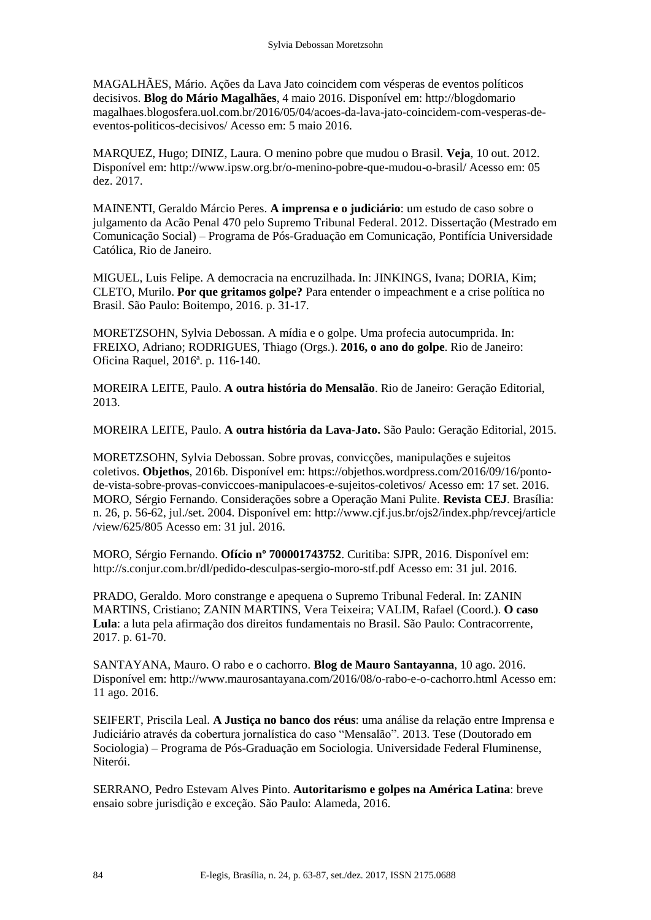MAGALHÃES, Mário. Ações da Lava Jato coincidem com vésperas de eventos políticos decisivos. **Blog do Mário Magalhães**, 4 maio 2016. Disponível em: http://blogdomario magalhaes.blogosfera.uol.com.br/2016/05/04/acoes-da-lava-jato-coincidem-com-vesperas-deeventos-politicos-decisivos/ Acesso em: 5 maio 2016.

MARQUEZ, Hugo; DINIZ, Laura. O menino pobre que mudou o Brasil. **Veja**, 10 out. 2012. Disponível em: http://www.ipsw.org.br/o-menino-pobre-que-mudou-o-brasil/ Acesso em: 05 dez. 2017.

MAINENTI, Geraldo Márcio Peres. **A imprensa e o judiciário**: um estudo de caso sobre o julgamento da Acão Penal 470 pelo Supremo Tribunal Federal. 2012. Dissertação (Mestrado em Comunicação Social) – Programa de Pós-Graduação em Comunicação, Pontifícia Universidade Católica, Rio de Janeiro.

MIGUEL, Luis Felipe. A democracia na encruzilhada. In: JINKINGS, Ivana; DORIA, Kim; CLETO, Murilo. **Por que gritamos golpe?** Para entender o impeachment e a crise política no Brasil. São Paulo: Boitempo, 2016. p. 31-17.

MORETZSOHN, Sylvia Debossan. A mídia e o golpe. Uma profecia autocumprida. In: FREIXO, Adriano; RODRIGUES, Thiago (Orgs.). **2016, o ano do golpe**. Rio de Janeiro: Oficina Raquel, 2016ª. p. 116-140.

MOREIRA LEITE, Paulo. **A outra história do Mensalão**. Rio de Janeiro: Geração Editorial, 2013.

MOREIRA LEITE, Paulo. **A outra história da Lava-Jato.** São Paulo: Geração Editorial, 2015.

MORETZSOHN, Sylvia Debossan. Sobre provas, convicções, manipulações e sujeitos coletivos. **Objethos**, 2016b. Disponível em: https://objethos.wordpress.com/2016/09/16/pontode-vista-sobre-provas-conviccoes-manipulacoes-e-sujeitos-coletivos/ Acesso em: 17 set. 2016. MORO, Sérgio Fernando. Considerações sobre a Operação Mani Pulite. **Revista CEJ**. Brasília: n. 26, p. 56-62, jul./set. 2004. Disponível em: http://www.cjf.jus.br/ojs2/index.php/revcej/article /view/625/805 Acesso em: 31 jul. 2016.

MORO, Sérgio Fernando. **Ofício nº 700001743752**. Curitiba: SJPR, 2016. Disponível em: http://s.conjur.com.br/dl/pedido-desculpas-sergio-moro-stf.pdf Acesso em: 31 jul. 2016.

PRADO, Geraldo. Moro constrange e apequena o Supremo Tribunal Federal. In: ZANIN MARTINS, Cristiano; ZANIN MARTINS, Vera Teixeira; VALIM, Rafael (Coord.). **O caso Lula**: a luta pela afirmação dos direitos fundamentais no Brasil. São Paulo: Contracorrente, 2017. p. 61-70.

SANTAYANA, Mauro. O rabo e o cachorro. **Blog de Mauro Santayanna**, 10 ago. 2016. Disponível em: http://www.maurosantayana.com/2016/08/o-rabo-e-o-cachorro.html Acesso em: 11 ago. 2016.

SEIFERT, Priscila Leal. **A Justiça no banco dos réus**: uma análise da relação entre Imprensa e Judiciário através da cobertura jornalística do caso "Mensalão". 2013. Tese (Doutorado em Sociologia) – Programa de Pós-Graduação em Sociologia. Universidade Federal Fluminense, Niterói.

SERRANO, Pedro Estevam Alves Pinto. **Autoritarismo e golpes na América Latina**: breve ensaio sobre jurisdição e exceção. São Paulo: Alameda, 2016.